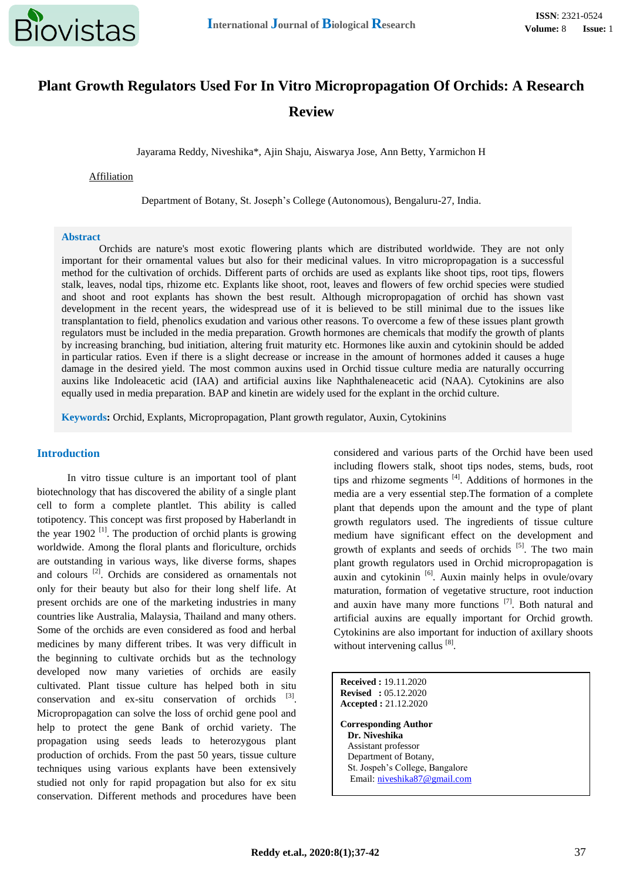

# **Plant Growth Regulators Used For In Vitro Micropropagation Of Orchids: A Research Review**

Jayarama Reddy, Niveshika\*, Ajin Shaju, Aiswarya Jose, Ann Betty, Yarmichon H

#### Affiliation

Department of Botany, St. Joseph's College (Autonomous), Bengaluru-27, India.

#### **Abstract**

Orchids are nature's most exotic flowering plants which are distributed worldwide. They are not only important for their ornamental values but also for their medicinal values. In vitro micropropagation is a successful method for the cultivation of orchids. Different parts of orchids are used as explants like shoot tips, root tips, flowers stalk, leaves, nodal tips, rhizome etc. Explants like shoot, root, leaves and flowers of few orchid species were studied and shoot and root explants has shown the best result. Although micropropagation of orchid has shown vast development in the recent years, the widespread use of it is believed to be still minimal due to the issues like transplantation to field, phenolics exudation and various other reasons. To overcome a few of these issues plant growth regulators must be included in the media preparation. Growth hormones are chemicals that modify the growth of plants by increasing branching, bud initiation, altering fruit maturity etc. Hormones like auxin and cytokinin should be added in particular ratios. Even if there is a slight decrease or increase in the amount of hormones added it causes a huge damage in the desired yield. The most common auxins used in Orchid tissue culture media are naturally occurring auxins like Indoleacetic acid (IAA) and artificial auxins like Naphthaleneacetic acid (NAA). Cytokinins are also equally used in media preparation. BAP and kinetin are widely used for the explant in the orchid culture.

**Keywords:** Orchid, Explants, Micropropagation, Plant growth regulator, Auxin, Cytokinins

## **Introduction**

In vitro tissue culture is an important tool of plant biotechnology that has discovered the ability of a single plant cell to form a complete plantlet. This ability is called totipotency. This concept was first proposed by Haberlandt in the year 1902<sup>[1]</sup>. The production of orchid plants is growing worldwide. Among the floral plants and floriculture, orchids are outstanding in various ways, like diverse forms, shapes and colours [2]. Orchids are considered as ornamentals not only for their beauty but also for their long shelf life. At present orchids are one of the marketing industries in many countries like Australia, Malaysia, Thailand and many others. Some of the orchids are even considered as food and herbal medicines by many different tribes. It was very difficult in the beginning to cultivate orchids but as the technology developed now many varieties of orchids are easily cultivated. Plant tissue culture has helped both in situ conservation and ex-situ conservation of orchids  $[3]$ . Micropropagation can solve the loss of orchid gene pool and help to protect the gene Bank of orchid variety. The propagation using seeds leads to heterozygous plant production of orchids. From the past 50 years, tissue culture techniques using various explants have been extensively studied not only for rapid propagation but also for ex situ conservation. Different methods and procedures have been

considered and various parts of the Orchid have been used including flowers stalk, shoot tips nodes, stems, buds, root tips and rhizome segments [4]. Additions of hormones in the media are a very essential step.The formation of a complete plant that depends upon the amount and the type of plant growth regulators used. The ingredients of tissue culture medium have significant effect on the development and growth of explants and seeds of orchids [5]. The two main plant growth regulators used in Orchid micropropagation is auxin and cytokinin <sup>[6]</sup>. Auxin mainly helps in ovule/ovary maturation, formation of vegetative structure, root induction and auxin have many more functions [7]. Both natural and artificial auxins are equally important for Orchid growth. Cytokinins are also important for induction of axillary shoots without intervening callus [8].

**Received :** 19.11.2020 **Revised :** 05.12.2020 **Accepted :** 21.12.2020 **Corresponding Author Dr. Niveshika** Assistant professor Department of Botany, St. Jospeh's College, Bangalore Email: [niveshika87@gmail.com](mailto:niveshika87@gmail.com)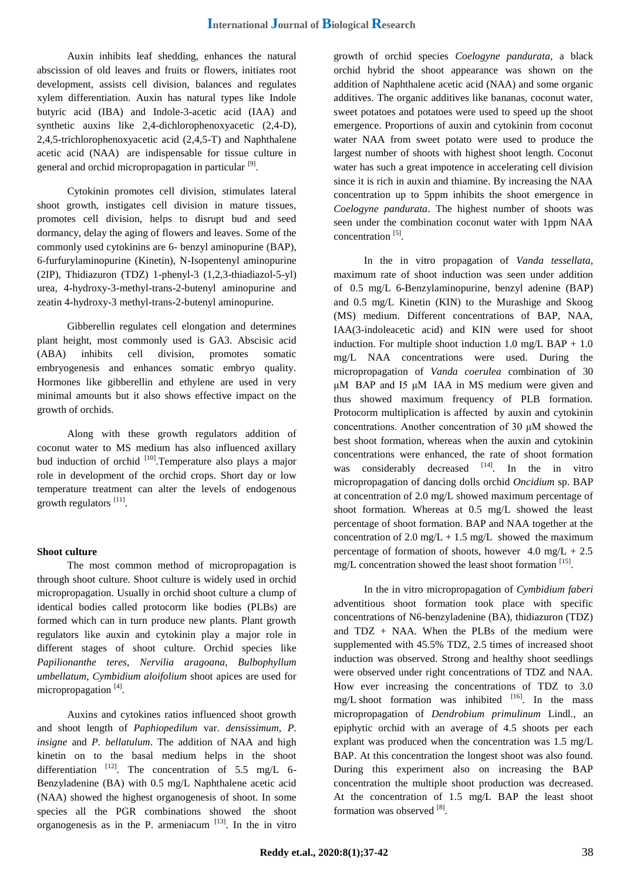Auxin inhibits leaf shedding, enhances the natural abscission of old leaves and fruits or flowers, initiates root development, assists cell division, balances and regulates xylem differentiation. Auxin has natural types like Indole butyric acid (IBA) and Indole-3-acetic acid (IAA) and synthetic auxins like 2,4-dichlorophenoxyacetic (2,4-D), 2,4,5-trichlorophenoxyacetic acid (2,4,5-T) and Naphthalene acetic acid (NAA) are indispensable for tissue culture in general and orchid micropropagation in particular [9].

Cytokinin promotes cell division, stimulates lateral shoot growth, instigates cell division in mature tissues, promotes cell division, helps to disrupt bud and seed dormancy, delay the aging of flowers and leaves. Some of the commonly used cytokinins are 6- benzyl aminopurine (BAP), 6-furfurylaminopurine (Kinetin), N-Isopentenyl aminopurine (2IP), Thidiazuron (TDZ) 1-phenyl-3 (1,2,3-thiadiazol-5-yl) urea, 4-hydroxy-3-methyl-trans-2-butenyl aminopurine and zeatin 4-hydroxy-3 methyl-trans-2-butenyl aminopurine.

Gibberellin regulates cell elongation and determines plant height, most commonly used is GA3. Abscisic acid (ABA) inhibits cell division, promotes somatic embryogenesis and enhances somatic embryo quality. Hormones like gibberellin and ethylene are used in very minimal amounts but it also shows effective impact on the growth of orchids.

Along with these growth regulators addition of coconut water to MS medium has also influenced axillary bud induction of orchid <sup>[10]</sup>.Temperature also plays a major role in development of the orchid crops. Short day or low temperature treatment can alter the levels of endogenous growth regulators [11].

#### **Shoot culture**

The most common method of micropropagation is through shoot culture. Shoot culture is widely used in orchid micropropagation. Usually in orchid shoot culture a clump of identical bodies called protocorm like bodies (PLBs) are formed which can in turn produce new plants. Plant growth regulators like auxin and cytokinin play a major role in different stages of shoot culture. Orchid species like *Papilionanthe teres*, *Nervilia aragoana, Bulbophyllum umbellatum*, *Cymbidium aloifolium* shoot apices are used for micropropagation<sup>[4]</sup>.

Auxins and cytokines ratios influenced shoot growth and shoot length of *Paphiopedilum* var. *densissimum*, *P. insigne* and *P. bellatulum*. The addition of NAA and high kinetin on to the basal medium helps in the shoot differentiation  $^{[12]}$ . The concentration of 5.5 mg/L 6-Benzyladenine (BA) with 0.5 mg/L Naphthalene acetic acid (NAA) showed the highest organogenesis of shoot. In some species all the PGR combinations showed the shoot organogenesis as in the P. armeniacum  $[13]$ . In the in vitro growth of orchid species *Coelogyne pandurata,* a black orchid hybrid the shoot appearance was shown on the addition of Naphthalene acetic acid (NAA) and some organic additives. The organic additives like bananas, coconut water, sweet potatoes and potatoes were used to speed up the shoot emergence. Proportions of auxin and cytokinin from coconut water NAA from sweet potato were used to produce the largest number of shoots with highest shoot length. Coconut water has such a great impotence in accelerating cell division since it is rich in auxin and thiamine. By increasing the NAA concentration up to 5ppm inhibits the shoot emergence in *Coelogyne pandurata*. The highest number of shoots was seen under the combination coconut water with 1ppm NAA concentration<sup>[5]</sup>.

In the in vitro propagation of *Vanda tessellata*, maximum rate of shoot induction was seen under addition of 0.5 mg/L 6-Benzylaminopurine, benzyl adenine (BAP) and 0.5 mg/L Kinetin (KIN) to the Murashige and Skoog (MS) medium. Different concentrations of BAP, NAA, IAA(3-indoleacetic acid) and KIN were used for shoot induction. For multiple shoot induction 1.0 mg/L BAP + 1.0 mg/L NAA concentrations were used. During the micropropagation of *Vanda coerulea* combination of 30 μM BAP and I5 μM IAA in MS medium were given and thus showed maximum frequency of PLB formation. Protocorm multiplication is affected by auxin and cytokinin concentrations. Another concentration of 30 μM showed the best shoot formation, whereas when the auxin and cytokinin concentrations were enhanced, the rate of shoot formation was considerably decreased  $[14]$ . In the in vitro micropropagation of dancing dolls orchid *Oncidium* sp. BAP at concentration of 2.0 mg/L showed maximum percentage of shoot formation. Whereas at 0.5 mg/L showed the least percentage of shoot formation. BAP and NAA together at the concentration of 2.0 mg/L + 1.5 mg/L showed the maximum percentage of formation of shoots, however  $4.0 \text{ mg/L} + 2.5$ mg/L concentration showed the least shoot formation [15].

In the in vitro micropropagation of *Cymbidium faberi* adventitious shoot formation took place with specific concentrations of N6-benzyladenine (BA), thidiazuron (TDZ) and TDZ + NAA. When the PLBs of the medium were supplemented with 45.5% TDZ, 2.5 times of increased shoot induction was observed. Strong and healthy shoot seedlings were observed under right concentrations of TDZ and NAA. How ever increasing the concentrations of TDZ to 3.0 mg/L shoot formation was inhibited  $[16]$ . In the mass micropropagation of *Dendrobium primulinum* Lindl., an epiphytic orchid with an average of 4.5 shoots per each explant was produced when the concentration was 1.5 mg/L BAP. At this concentration the longest shoot was also found. During this experiment also on increasing the BAP concentration the multiple shoot production was decreased. At the concentration of 1.5 mg/L BAP the least shoot formation was observed [8].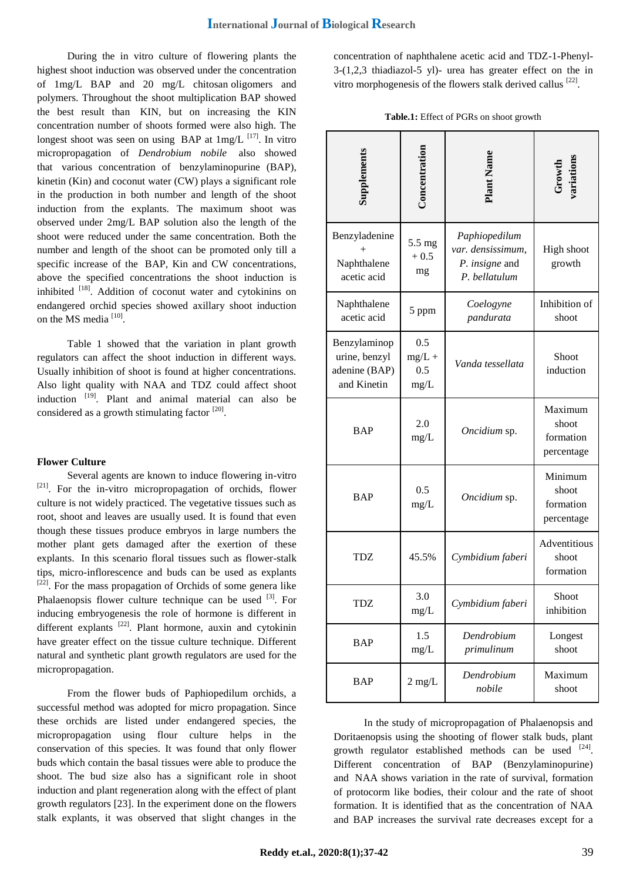During the in vitro culture of flowering plants the highest shoot induction was observed under the concentration of 1mg/L BAP and 20 mg/L chitosan oligomers and polymers. Throughout the shoot multiplication BAP showed the best result than KIN, but on increasing the KIN concentration number of shoots formed were also high. The longest shoot was seen on using BAP at  $1 \text{mg/L}$ <sup>[17]</sup>. In vitro micropropagation of *Dendrobium nobile* also showed that various concentration of benzylaminopurine (BAP), kinetin (Kin) and coconut water (CW) plays a significant role in the production in both number and length of the shoot induction from the explants. The maximum shoot was observed under 2mg/L BAP solution also the length of the shoot were reduced under the same concentration. Both the number and length of the shoot can be promoted only till a specific increase of the BAP, Kin and CW concentrations, above the specified concentrations the shoot induction is inhibited <sup>[18]</sup>. Addition of coconut water and cytokinins on endangered orchid species showed axillary shoot induction on the MS media<sup>[10]</sup>.

Table 1 showed that the variation in plant growth regulators can affect the shoot induction in different ways. Usually inhibition of shoot is found at higher concentrations. Also light quality with NAA and TDZ could affect shoot induction [19]. Plant and animal material can also be considered as a growth stimulating factor [20].

#### **Flower Culture**

Several agents are known to induce flowering in-vitro [21]. For the in-vitro micropropagation of orchids, flower culture is not widely practiced. The vegetative tissues such as root, shoot and leaves are usually used. It is found that even though these tissues produce embryos in large numbers the mother plant gets damaged after the exertion of these explants. In this scenario floral tissues such as flower-stalk tips, micro-inflorescence and buds can be used as explants  $[22]$ . For the mass propagation of Orchids of some genera like Phalaenopsis flower culture technique can be used  $[3]$ . For inducing embryogenesis the role of hormone is different in different explants [22]. Plant hormone, auxin and cytokinin have greater effect on the tissue culture technique. Different natural and synthetic plant growth regulators are used for the micropropagation.

From the flower buds of Paphiopedilum orchids, a successful method was adopted for micro propagation. Since these orchids are listed under endangered species, the micropropagation using flour culture helps in the conservation of this species. It was found that only flower buds which contain the basal tissues were able to produce the shoot. The bud size also has a significant role in shoot induction and plant regeneration along with the effect of plant growth regulators [23]. In the experiment done on the flowers stalk explants, it was observed that slight changes in the

concentration of naphthalene acetic acid and TDZ-1-Phenyl-3-(1,2,3 thiadiazol-5 yl)- urea has greater effect on the in vitro morphogenesis of the flowers stalk derived callus  $[22]$ .

| Table.1: Effect of PGRs on shoot growth |  |
|-----------------------------------------|--|
|-----------------------------------------|--|

| Supplements                                                   | Concentration                  | <b>Plant Name</b>                                                     | Growth<br>variations                        |
|---------------------------------------------------------------|--------------------------------|-----------------------------------------------------------------------|---------------------------------------------|
| Benzyladenine<br>Naphthalene<br>acetic acid                   | 5.5 mg<br>$+0.5$<br>mg         | Paphiopedilum<br>var. densissimum,<br>P. insigne and<br>P. bellatulum | High shoot<br>growth                        |
| Naphthalene<br>acetic acid                                    | 5 ppm                          | Coelogyne<br>pandurata                                                | Inhibition of<br>shoot                      |
| Benzylaminop<br>urine, benzyl<br>adenine (BAP)<br>and Kinetin | 0.5<br>$mg/L +$<br>0.5<br>mg/L | Vanda tessellata                                                      | Shoot<br>induction                          |
| <b>BAP</b>                                                    | 2.0<br>mg/L                    | Oncidium sp.                                                          | Maximum<br>shoot<br>formation<br>percentage |
| <b>BAP</b>                                                    | 0.5<br>mg/L                    | Oncidium sp.                                                          | Minimum<br>shoot<br>formation<br>percentage |
| <b>TDZ</b>                                                    | 45.5%                          | Cymbidium faberi                                                      | Adventitious<br>shoot<br>formation          |
| <b>TDZ</b>                                                    | 3.0<br>mg/L                    | Cymbidium faberi                                                      | Shoot<br>inhibition                         |
| <b>BAP</b>                                                    | 1.5<br>mg/L                    | Dendrobium<br>primulinum                                              | Longest<br>shoot                            |
| <b>BAP</b>                                                    | $2$ mg/L                       | Dendrobium<br>nobile                                                  | Maximum<br>shoot                            |

In the study of micropropagation of Phalaenopsis and Doritaenopsis using the shooting of flower stalk buds, plant growth regulator established methods can be used  $[24]$ . Different concentration of BAP (Benzylaminopurine) and NAA shows variation in the rate of survival, formation of protocorm like bodies, their colour and the rate of shoot formation. It is identified that as the concentration of NAA and BAP increases the survival rate decreases except for a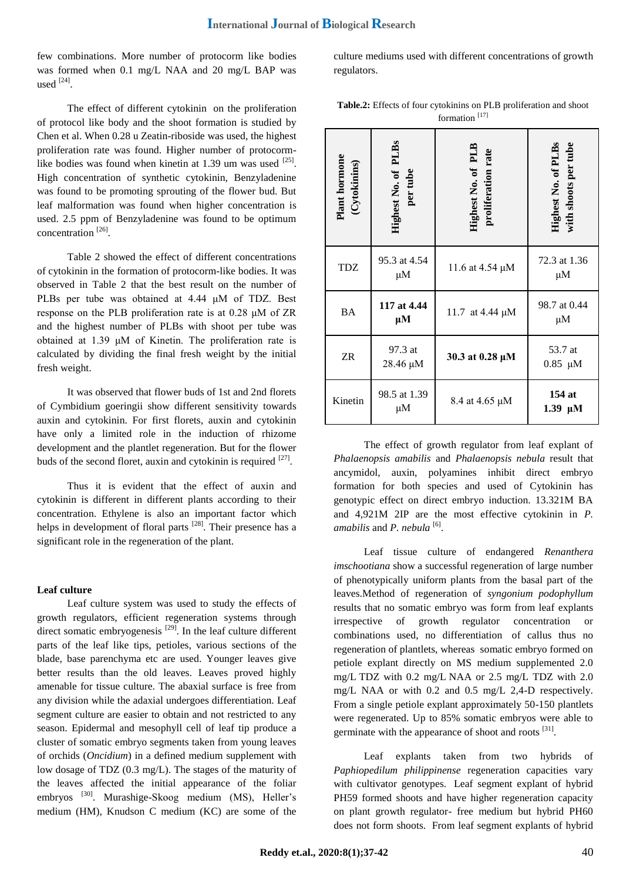few combinations. More number of protocorm like bodies was formed when 0.1 mg/L NAA and 20 mg/L BAP was used  $^{[24]}$ .

The effect of different cytokinin on the proliferation of protocol like body and the shoot formation is studied by Chen et al. When 0.28 u Zeatin-riboside was used, the highest proliferation rate was found. Higher number of protocormlike bodies was found when kinetin at 1.39 um was used  $^{[25]}$ . High concentration of synthetic cytokinin, Benzyladenine was found to be promoting sprouting of the flower bud. But leaf malformation was found when higher concentration is used. 2.5 ppm of Benzyladenine was found to be optimum concentration<sup>[26]</sup>.

Table 2 showed the effect of different concentrations of cytokinin in the formation of protocorm-like bodies. It was observed in Table 2 that the best result on the number of PLBs per tube was obtained at 4.44 μM of TDZ. Best response on the PLB proliferation rate is at 0.28 μM of ZR and the highest number of PLBs with shoot per tube was obtained at 1.39 μM of Kinetin. The proliferation rate is calculated by dividing the final fresh weight by the initial fresh weight.

It was observed that flower buds of 1st and 2nd florets of Cymbidium goeringii show different sensitivity towards auxin and cytokinin. For first florets, auxin and cytokinin have only a limited role in the induction of rhizome development and the plantlet regeneration. But for the flower buds of the second floret, auxin and cytokinin is required  $^{[27]}$ .

Thus it is evident that the effect of auxin and cytokinin is different in different plants according to their concentration. Ethylene is also an important factor which helps in development of floral parts <sup>[28]</sup>. Their presence has a significant role in the regeneration of the plant.

#### **Leaf culture**

Leaf culture system was used to study the effects of growth regulators, efficient regeneration systems through direct somatic embryogenesis  $[29]$ . In the leaf culture different parts of the leaf like tips, petioles, various sections of the blade, base parenchyma etc are used. Younger leaves give better results than the old leaves. Leaves proved highly amenable for tissue culture. The abaxial surface is free from any division while the adaxial undergoes differentiation. Leaf segment culture are easier to obtain and not restricted to any season. Epidermal and mesophyll cell of leaf tip produce a cluster of somatic embryo segments taken from young leaves of orchids (*Oncidium*) in a defined medium supplement with low dosage of TDZ (0.3 mg/L). The stages of the maturity of the leaves affected the initial appearance of the foliar embryos <sup>[30]</sup>. Murashige-Skoog medium (MS), Heller's medium (HM), Knudson C medium (KC) are some of the

culture mediums used with different concentrations of growth regulators.

| <b>Plant hormone</b><br>(Cytokinins) | Highest No. of PLBs<br>per tube | Highest No. of PLB<br>proliferation rate | Highest No. of PLBs<br>with shoots per tube |  |
|--------------------------------------|---------------------------------|------------------------------------------|---------------------------------------------|--|
| <b>TDZ</b>                           | 95.3 at 4.54<br>$\mu$ M         | 11.6 at 4.54 µM                          | 72.3 at 1.36<br>$\mu$ M                     |  |
| <b>BA</b>                            | 117 at 4.44<br>$\mu$ M          | 11.7 at 4.44 µM                          | 98.7 at 0.44<br>$\mu$ M                     |  |
| ZR                                   | 97.3 at<br>28.46 µM             | 30.3 at 0.28 $\mu$ M                     | 53.7 at<br>$0.85$ $\mu$ M                   |  |
| Kinetin                              | 98.5 at 1.39<br>μM              | 8.4 at 4.65 µM                           | 154 at<br>$1.39$ $\mu$ M                    |  |

**Table.2:** Effects of four cytokinins on PLB proliferation and shoot formation [17]

The effect of growth regulator from leaf explant of *Phalaenopsis amabilis* and *Phalaenopsis nebula* result that ancymidol, auxin, polyamines inhibit direct embryo formation for both species and used of Cytokinin has genotypic effect on direct embryo induction. 13.321M BA and 4,921M 2IP are the most effective cytokinin in *P. amabilis* and *P. nebula* [6] .

Leaf tissue culture of endangered *Renanthera imschootiana* show a successful regeneration of large number of phenotypically uniform plants from the basal part of the leaves.Method of regeneration of *syngonium podophyllum* results that no somatic embryo was form from leaf explants irrespective of growth regulator concentration or combinations used, no differentiation of callus thus no regeneration of plantlets, whereas somatic embryo formed on petiole explant directly on MS medium supplemented 2.0 mg/L TDZ with 0.2 mg/L NAA or 2.5 mg/L TDZ with 2.0 mg/L NAA or with 0.2 and 0.5 mg/L 2,4-D respectively. From a single petiole explant approximately 50-150 plantlets were regenerated. Up to 85% somatic embryos were able to germinate with the appearance of shoot and roots [31].

Leaf explants taken from two hybrids of *Paphiopedilum philippinense* regeneration capacities vary with cultivator genotypes. Leaf segment explant of hybrid PH59 formed shoots and have higher regeneration capacity on plant growth regulator- free medium but hybrid PH60 does not form shoots. From leaf segment explants of hybrid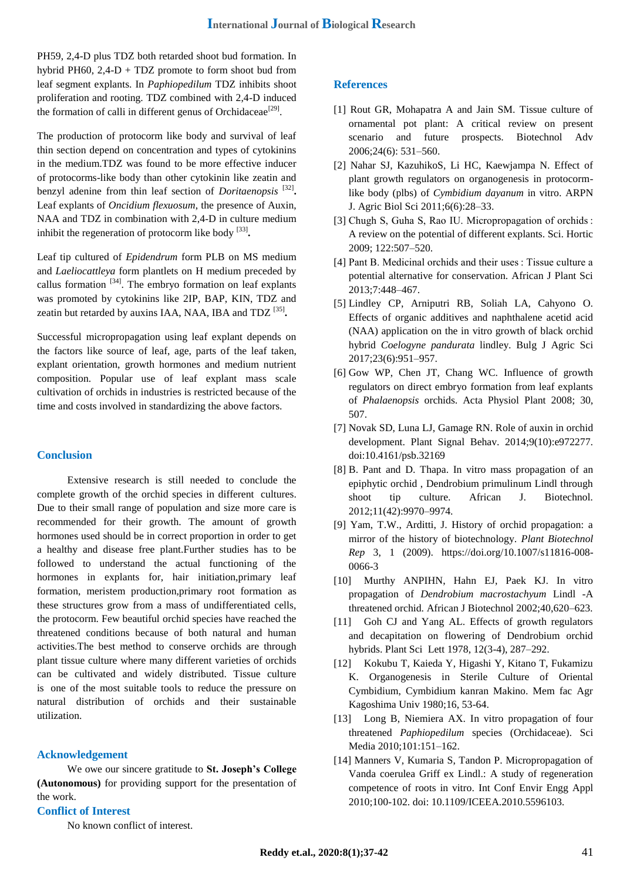PH59, 2,4-D plus TDZ both retarded shoot bud formation. In hybrid PH60,  $2.4-D + TDZ$  promote to form shoot bud from leaf segment explants. In *Paphiopedilum* TDZ inhibits shoot proliferation and rooting. TDZ combined with 2,4-D induced the formation of calli in different genus of Orchidaceae<sup>[29]</sup>.

The production of protocorm like body and survival of leaf thin section depend on concentration and types of cytokinins in the medium.TDZ was found to be more effective inducer of protocorms-like body than other cytokinin like zeatin and benzyl adenine from thin leaf section of *Doritaenopsis* [32] **.**  Leaf explants of *Oncidium flexuosum*, the presence of Auxin, NAA and TDZ in combination with 2,4-D in culture medium inhibit the regeneration of protocorm like body <sup>[33]</sup>.

Leaf tip cultured of *Epidendrum* form PLB on MS medium and *Laeliocattleya* form plantlets on H medium preceded by callus formation  $^{[34]}$ . The embryo formation on leaf explants was promoted by cytokinins like 2IP, BAP, KIN, TDZ and zeatin but retarded by auxins IAA, NAA, IBA and TDZ [35] **.**

Successful micropropagation using leaf explant depends on the factors like source of leaf, age, parts of the leaf taken, explant orientation, growth hormones and medium nutrient composition. Popular use of leaf explant mass scale cultivation of orchids in industries is restricted because of the time and costs involved in standardizing the above factors.

#### **Conclusion**

Extensive research is still needed to conclude the complete growth of the orchid species in different cultures. Due to their small range of population and size more care is recommended for their growth. The amount of growth hormones used should be in correct proportion in order to get a healthy and disease free plant.Further studies has to be followed to understand the actual functioning of the hormones in explants for, hair initiation,primary leaf formation, meristem production,primary root formation as these structures grow from a mass of undifferentiated cells, the protocorm. Few beautiful orchid species have reached the threatened conditions because of both natural and human activities.The best method to conserve orchids are through plant tissue culture where many different varieties of orchids can be cultivated and widely distributed. Tissue culture is one of the most suitable tools to reduce the pressure on natural distribution of orchids and their sustainable utilization.

#### **Acknowledgement**

We owe our sincere gratitude to **St. Joseph's College (Autonomous)** for providing support for the presentation of the work.

### **Conflict of Interest**

No known conflict of interest.

#### **References**

- [1] Rout GR, Mohapatra A and Jain SM. Tissue culture of ornamental pot plant: A critical review on present scenario and future prospects. Biotechnol Adv 2006;24(6): 531–560.
- [2] Nahar SJ, KazuhikoS, Li HC, Kaewjampa N. Effect of plant growth regulators on organogenesis in protocormlike body (plbs) of *Cymbidium dayanum* in vitro. ARPN J. Agric Biol Sci 2011;6(6):28–33.
- [3] Chugh S, Guha S, Rao IU. Micropropagation of orchids : A review on the potential of different explants. Sci. Hortic 2009; 122:507–520.
- [4] Pant B. Medicinal orchids and their uses : Tissue culture a potential alternative for conservation. African J Plant Sci 2013;7:448–467.
- [5] Lindley CP, Arniputri RB, Soliah LA, Cahyono O. Effects of organic additives and naphthalene acetid acid (NAA) application on the in vitro growth of black orchid hybrid *Coelogyne pandurata* lindley. Bulg J Agric Sci 2017;23(6):951–957.
- [6] Gow WP, Chen JT, Chang WC. Influence of growth regulators on direct embryo formation from leaf explants of *Phalaenopsis* orchids. Acta Physiol Plant 2008; 30, 507.
- [7] Novak SD, Luna LJ, Gamage RN. Role of auxin in orchid development. Plant Signal Behav. 2014;9(10):e972277. doi:10.4161/psb.32169
- [8] B. Pant and D. Thapa. In vitro mass propagation of an epiphytic orchid , Dendrobium primulinum Lindl through shoot tip culture. African J. Biotechnol*.* 2012;11(42):9970–9974.
- [9] Yam, T.W., Arditti, J. History of orchid propagation: a mirror of the history of biotechnology. *Plant Biotechnol Rep* 3, 1 (2009). https://doi.org/10.1007/s11816-008- 0066-3
- [10] Murthy ANPIHN, Hahn EJ, Paek KJ. In vitro propagation of *Dendrobium macrostachyum* Lindl -A threatened orchid. African J Biotechnol 2002;40,620–623.
- [11] Goh CJ and Yang AL. Effects of growth regulators and decapitation on flowering of Dendrobium orchid hybrids. Plant Sci Lett 1978, 12(3-4), 287–292.
- [12] Kokubu T, Kaieda Y, Higashi Y, Kitano T, Fukamizu K. Organogenesis in Sterile Culture of Oriental Cymbidium, Cymbidium kanran Makino. Mem fac Agr Kagoshima Univ 1980;16, 53-64.
- [13] Long B, Niemiera AX. In vitro propagation of four threatened *Paphiopedilum* species (Orchidaceae). Sci Media 2010;101:151–162.
- [14] Manners V, Kumaria S, Tandon P. Micropropagation of Vanda coerulea Griff ex Lindl.: A study of regeneration competence of roots in vitro. Int Conf Envir Engg Appl 2010;100-102. doi: 10.1109/ICEEA.2010.5596103.